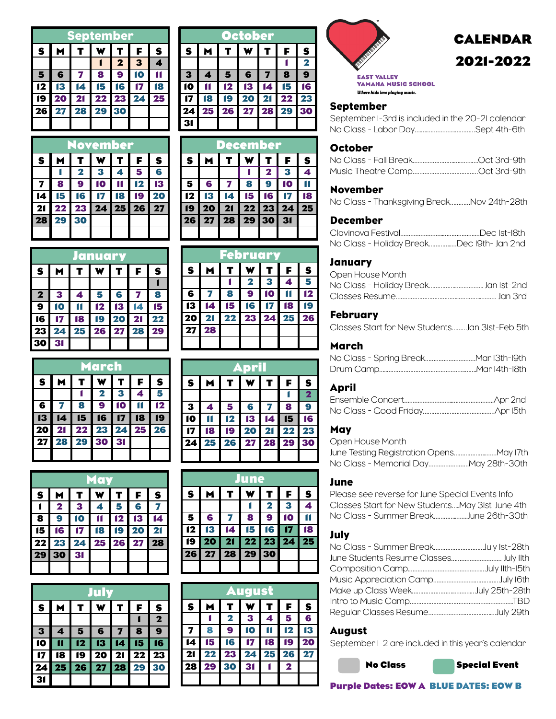|    | September      |                   |  |          |    |              |  |  |  |
|----|----------------|-------------------|--|----------|----|--------------|--|--|--|
| S  | $\blacksquare$ | T.                |  | WITI     | F. | $\mathbf{s}$ |  |  |  |
|    |                |                   |  | 2   3    |    | Δ            |  |  |  |
| 5  |                | 6 7 8             |  | <b>9</b> | 10 |              |  |  |  |
|    |                | 12 13 14 15 16 17 |  |          |    | l 18         |  |  |  |
| 19 |                | 20 21 22 23 24 25 |  |          |    |              |  |  |  |
| 26 |                | 27 28 29 30       |  |          |    |              |  |  |  |
|    |                |                   |  |          |    |              |  |  |  |

|                         | <b>November</b> |                         |               |                |           |                 |  |  |  |
|-------------------------|-----------------|-------------------------|---------------|----------------|-----------|-----------------|--|--|--|
| S.                      | M               | $\mathbf{T}$            | $\mathbf{w}$  | ן דן           | F         | S               |  |  |  |
|                         |                 | $\overline{\mathbf{2}}$ | 3             | $\overline{4}$ | - 5       | 6               |  |  |  |
| $\overline{\mathbf{z}}$ | <b>8</b>        | $\bullet$               | 10            |                | 12        | 13              |  |  |  |
| 14                      | 15              | <b>16</b>               | $\mathbf{17}$ | <b>18</b>      | <b>19</b> | <b>20</b>       |  |  |  |
| 21                      | 22              | 23 24 25 26             |               |                |           | $\overline{27}$ |  |  |  |
| 28                      | 29              | 30                      |               |                |           |                 |  |  |  |
|                         |                 |                         |               |                |           |                 |  |  |  |

|                             | January                 |    |    |                          |           |              |  |  |  |
|-----------------------------|-------------------------|----|----|--------------------------|-----------|--------------|--|--|--|
| $\mathbf{s}$<br>F<br>M<br>т |                         |    |    |                          |           | $\mathbf{s}$ |  |  |  |
|                             |                         |    |    |                          |           |              |  |  |  |
| $\mathbf{2}$                | $\overline{\mathbf{3}}$ | 4  | 5  | 6                        | 7         | 8            |  |  |  |
| 9                           | $\bullet$               |    | 12 | 13                       | 4         | 15           |  |  |  |
| 16                          |                         | 18 | 19 | 20                       | 21        | 22           |  |  |  |
| 23                          | 24                      | 25 | 26 | $\overline{\mathbf{27}}$ | <b>28</b> | 29           |  |  |  |
| $\bar{3}$                   | 31                      |    |    |                          |           |              |  |  |  |

| March        |    |           |                |                         |    |              |  |  |
|--------------|----|-----------|----------------|-------------------------|----|--------------|--|--|
| $\mathbf{s}$ | м  | T         |                |                         | F  | $\mathbf{s}$ |  |  |
|              |    |           | 2              | $\overline{\mathbf{3}}$ | 4  | 5            |  |  |
| 6            |    | 8         | 9              | o                       |    | 12           |  |  |
| 13           | 14 | <b>15</b> | 16             | $\overline{17}$         | 18 | 19           |  |  |
| 20           | 21 |           | 22 23 24 25 26 |                         |    |              |  |  |
| 27           | 28 | 29        | 30             | 31                      |    |              |  |  |
|              |    |           |                |                         |    |              |  |  |

| May |                |               |                  |               |           |    |  |  |
|-----|----------------|---------------|------------------|---------------|-----------|----|--|--|
| S   | M              | T.            | W                | T.            | F         | S  |  |  |
|     | $\mathbf{2}$   | $\mathbf{3}$  | $\boldsymbol{4}$ | 5             | 6         |    |  |  |
| 8   | 9              | 10            |                  | $\mathbf{12}$ | 13        | 14 |  |  |
| 15  | 16             | $\mathbf{17}$ | <b>18</b>        | <b>19</b>     | <b>20</b> | 21 |  |  |
| 22  | 23 24 25 26 27 |               |                  |               |           | 28 |  |  |
| 29  | 30             | 31            |                  |               |           |    |  |  |
|     |                |               |                  |               |           |    |  |  |

|    | July |    |       |                 |             |                 |  |  |
|----|------|----|-------|-----------------|-------------|-----------------|--|--|
| S  | M    | т  | w     | T.              | F           | $\mathbf{s}$    |  |  |
|    |      |    |       |                 |             | $\mathbf 2$     |  |  |
| 3  | 4    | 5  | 6     | 7               | 8           | 9               |  |  |
| 10 |      | 12 | 13    | 14              | 15          | 16              |  |  |
|    | 18   | 19 | 20    | $\overline{21}$ | $\sqrt{22}$ | $\overline{23}$ |  |  |
| 24 | 25   | 26 | 27 28 |                 | 29          | 30              |  |  |
|    |      |    |       |                 |             |                 |  |  |

| October                                                               |           |                |                |     |             |             |  |  |
|-----------------------------------------------------------------------|-----------|----------------|----------------|-----|-------------|-------------|--|--|
| T<br>$\overline{\mathbf{w}}$<br>M<br>S.<br>  ז  <br>$\textbf{s}$<br>F |           |                |                |     |             |             |  |  |
|                                                                       |           |                |                |     |             | $\mathbf 2$ |  |  |
| $\overline{\mathbf{3}}$                                               | Δ         |                | 56             | I 7 | 8           | 9           |  |  |
| 10                                                                    |           |                | $12$ $13$ $14$ |     | $\sqrt{15}$ | 16          |  |  |
| $\overline{\mathbf{17}}$                                              | <b>18</b> | 19 20 21 22 23 |                |     |             |             |  |  |
| 24                                                                    |           | 25 26 27 28 29 |                |     |             | 30          |  |  |
|                                                                       |           |                |                |     |             |             |  |  |

|                   | December       |                                      |           |  |      |              |  |  |  |
|-------------------|----------------|--------------------------------------|-----------|--|------|--------------|--|--|--|
| S.                | M              | T                                    | W   T   F |  |      | $\mathbf{s}$ |  |  |  |
|                   |                |                                      |           |  |      | 4            |  |  |  |
| 5.                | 6 <sup>1</sup> | 789                                  |           |  | I 10 |              |  |  |  |
| 12                | <b>13</b>      | 14 15 16 17 18                       |           |  |      |              |  |  |  |
|                   | 19   20        | $21 \mid 22 \mid 23 \mid 24 \mid 25$ |           |  |      |              |  |  |  |
| 26 27 28 29 30 31 |                |                                      |           |  |      |              |  |  |  |
|                   |                |                                      |           |  |      |              |  |  |  |

|              | <b>February</b> |    |                 |   |       |                           |  |  |  |
|--------------|-----------------|----|-----------------|---|-------|---------------------------|--|--|--|
| $\mathbf{s}$ | M               | т  |                 |   | F     | $\boldsymbol{\mathsf{s}}$ |  |  |  |
|              |                 |    | $\mathbf{2}$    | 3 | 4     | 5                         |  |  |  |
| 6            |                 | 8  | 9               | 0 |       | 12                        |  |  |  |
| 13           | 14              | 15 | 16              |   | 18    | p                         |  |  |  |
| 20           | 21              | 22 | $\overline{23}$ |   | 24 25 | <b>26</b>                 |  |  |  |
| 27           | 28              |    |                 |   |       |                           |  |  |  |
|              |                 |    |                 |   |       |                           |  |  |  |

| <b>April</b> |    |                 |                   |                      |    |                         |  |  |
|--------------|----|-----------------|-------------------|----------------------|----|-------------------------|--|--|
| S.           | M  | $\mathbf{T}$    | $\mathbf{w}$      | $1$ T $\overline{1}$ | F. | S                       |  |  |
|              |    |                 |                   |                      |    | $\overline{\mathbf{2}}$ |  |  |
| 3            | 4  | 5               | 6                 | $\blacksquare$       | -8 | 9                       |  |  |
| 10           |    | $\overline{12}$ | $13 \t14 \t15$    |                      |    | 16                      |  |  |
|              | 18 |                 | 19 20 21 22 23    |                      |    |                         |  |  |
| 24           |    |                 | 25 26 27 28 29 30 |                      |    |                         |  |  |
|              |    |                 |                   |                      |    |                         |  |  |

|    | June              |                         |              |              |    |                  |  |  |  |
|----|-------------------|-------------------------|--------------|--------------|----|------------------|--|--|--|
| S  | M                 | T                       | W            | т            | F  | $\boldsymbol{s}$ |  |  |  |
|    |                   |                         |              | $\mathbf{2}$ | 3  |                  |  |  |  |
| 5  | 6                 | $\overline{\mathbf{z}}$ | $\mathbf{8}$ | 9            | 10 |                  |  |  |  |
| 12 | 13                | $\overline{14}$         | 15           | <b>16</b>    |    | Ŧ                |  |  |  |
| 19 | <b>20</b>         | 21 22 23 24             |              |              |    | 25               |  |  |  |
|    | 26 27 28 29<br>30 |                         |              |              |    |                  |  |  |  |
|    |                   |                         |              |              |    |                  |  |  |  |

| uaust<br>А   |    |             |    |    |    |                    |  |  |
|--------------|----|-------------|----|----|----|--------------------|--|--|
| S            |    |             |    |    | F  | $\pmb{\mathsf{s}}$ |  |  |
|              |    | $\mathbf 2$ | 3  | 4  | 5  | 6                  |  |  |
| 7            | 8  | 9           |    |    | 12 | 13                 |  |  |
| $\mathbf{I}$ | 15 | 16          | 17 | 18 | 19 | 20                 |  |  |
| 21           | 22 | 23          | 24 | 25 | 26 | 27                 |  |  |
| 28           | 29 | 30          | 31 |    | 2  |                    |  |  |
|              |    |             |    |    |    |                    |  |  |



# **CALENDAR 2021-2022**

**EAST VALLEY** YAMAHA MUSIC SCHOOL Where kids love playing music.

## September

September 1-3rd is included in the 20-21 calendar No Class - Labor Day….….……………..…………Sept 4th-6th

#### **October**

## November

No Class - Thanksgiving Break…………Nov 24th-28th

## December

| No Class - Holiday BreakDec I9th- Jan 2nd |  |
|-------------------------------------------|--|

# **January**

| Open House Month                     |  |
|--------------------------------------|--|
| No Class - Holiday Break Jan Ist-2nd |  |
|                                      |  |

## February

Classes Start for New Students………Jan 31st-Feb 5th

# March

# April

#### **May**

| Open House Month |  |
|------------------|--|
|                  |  |
|                  |  |

#### June

Please see reverse for June Special Events Info Classes Start for New Students…..May 31st-June 4th No Class - Summer Break…………..…….June 26th-30th

# July

| No Class - Summer BreakJuly Ist-28th   |  |
|----------------------------------------|--|
| June Students Resume Classes July IIth |  |
|                                        |  |
|                                        |  |
|                                        |  |
|                                        |  |
|                                        |  |
|                                        |  |

# August

September 1-2 are included in this year's calendar





**Purple Dates: EOW A BLUE DATES: EOW B**